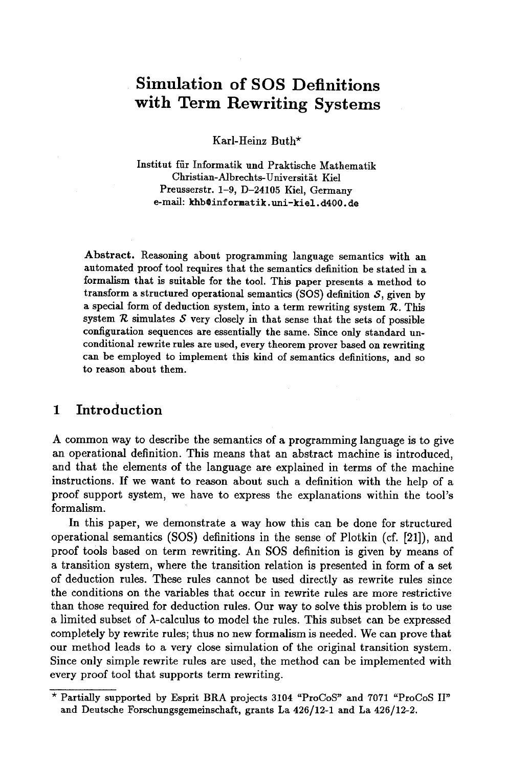# **Simulation of SOS Definitions with Term Rewriting Systems**

Karl-Heinz Buth\*

Institut ffir Informatik und Praktische Mathematik Christian-Albrechts-Universität Kiel Preusserstr. 1-9, D-24105 Kiel, Germany e-mail: khb@informatik.uni-kiel.d400.de

Abstract. Reasoning about programming language semantics with an automated proof tool requires that the semantics definition be stated in a formalism that is suitable for the tool. This paper presents a method to transform a structured operational semantics (SOS) definition  $S$ , given by a special form of deduction system, into a term rewriting system  $R$ . This system  $R$  simulates  $S$  very closely in that sense that the sets of possible configuration sequences are essentially the same. Since only standard unconditional rewrite rules are used, every theorem prover based on rewriting can be employed to implement this kind of semantics definitions, and so to reason about them.

## **1 Introduction**

A common way to describe the semantics of a programming language is to give an operational definition. This means that an abstract machine is introduced, and that the elements of the language are explained in terms of the machine instructions. If we want to reason about such a definition with the help of a proof support system, we have to express the explanations within the tool's formalism.

In this paper, we demonstrate a way how this can be done for structured operational semantics (SOS) definitions in the sense of Plotkin (cf. [21]), and proof tools based on term rewriting. An SOS definition is given by means of a transition system, where the transition relation is presented in form of a set of deduction rules. These rules cannot be used directly as rewrite rules since the conditions on the variables that occur in rewrite rules are more restrictive than those required for deduction rules. Our way to solve this problem is to use a limited subset of A-calculus to model the rules. This subset can be expressed completely by rewrite rules; thus no new formalism is needed. We can prove that our method leads to a very close simulation of the original transition system. Since only simple rewrite rules are used, the method can be implemented with every proof tool that supports term rewriting.

<sup>\*</sup> Partially supported by Esprit BRA projects 3104 *"ProCoS"* and 7071 "ProCoS II" and Deutsche Forschungsgemeinschaft, grants La 426/12-1 and La 426/12-2.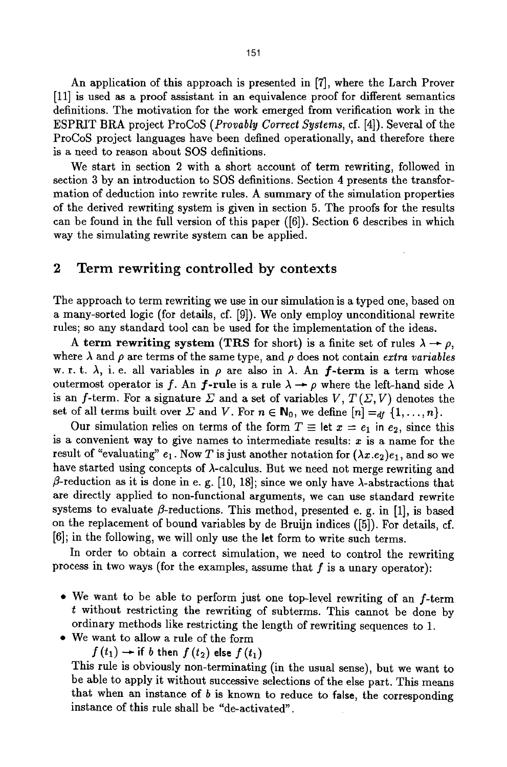An application of this approach is presented in [7], where the Larch Prover [11] is used as a proof assistant in an equivalence proof for different semantics definitions. The motivation for the work emerged from verification work in the ESPRIT BRA project ProCoS *(Provably Correct Systems,* cf. [4]). Several of the ProCoS project languages have been defined operationally, and therefore there is a need to reason about SOS definitions.

We start in section 2 with a short account of term rewriting, followed in section 3 by an introduction to SOS definitions. Section 4 presents the transformation of deduction into rewrite rules. A summary of the simulation properties of the derived rewriting system is given in section 5. The proofs for the results can be found in the full version of this paper ([6]). Section 6 describes in which way the simulating rewrite system can be applied.

## **2 Term rewriting controlled by contexts**

The approach to term rewriting we use in our simulation is a typed one, based on a many-sorted logic (for details, cf. [9]). We only employ unconditional rewrite rules; so any standard tool can be used for the implementation of the ideas.

A term rewriting system (TRS for short) is a finite set of rules  $\lambda \rightarrow \rho$ . where  $\lambda$  and  $\rho$  are terms of the same type, and  $\rho$  does not contain *extra variables* w. r. t.  $\lambda$ , i. e. all variables in  $\rho$  are also in  $\lambda$ . An f-term is a term whose outermost operator is f. An f-rule is a rule  $\lambda \rightarrow \rho$  where the left-hand side  $\lambda$ is an f-term. For a signature  $\Sigma$  and a set of variables  $V, T(\Sigma, V)$  denotes the set of all terms built over  $\Sigma$  and  $V$ . For  $n \in \mathbb{N}_0$ , we define  $[n] =_{df} \{1, \ldots, n\}$ .

Our simulation relies on terms of the form  $T \equiv$  let  $x = e_1$  in  $e_2$ , since this is a convenient way to give names to intermediate results:  $x$  is a name for the result of "evaluating"  $e_1$ . Now T is just another notation for  $(\lambda x.e_2)e_1$ , and so we have started using concepts of  $\lambda$ -calculus. But we need not merge rewriting and  $\beta$ -reduction as it is done in e. g. [10, 18]; since we only have  $\lambda$ -abstractions that are directly applied to non-functional arguments, we can use standard rewrite systems to evaluate  $\beta$ -reductions. This method, presented e. g. in [1], is based on the replacement of bound variables by de Bruijn indices ([5]). For details, cf. [6]; in the following, we will only use the let form to write such terms.

In order to obtain a correct simulation, we need to control the rewriting process in two ways (for the examples, assume that  $f$  is a unary operator):

- 9 We want to be able to perform just one top-level rewriting of an f-term t without restricting the rewriting of subterms. This cannot be done by ordinary methods like restricting the length of rewriting sequences to 1.
- 9 We want to allow a rule of the form

 $f(t_1) \rightarrow$  if *b* then  $f(t_2)$  else  $f(t_1)$ 

This rule is obviously non-terminating (in the usual sense), but we want to be able to apply it without successive selections of the else part. This means that when an instance of  $b$  is known to reduce to false, the corresponding instance of this rule shall be "de-activated".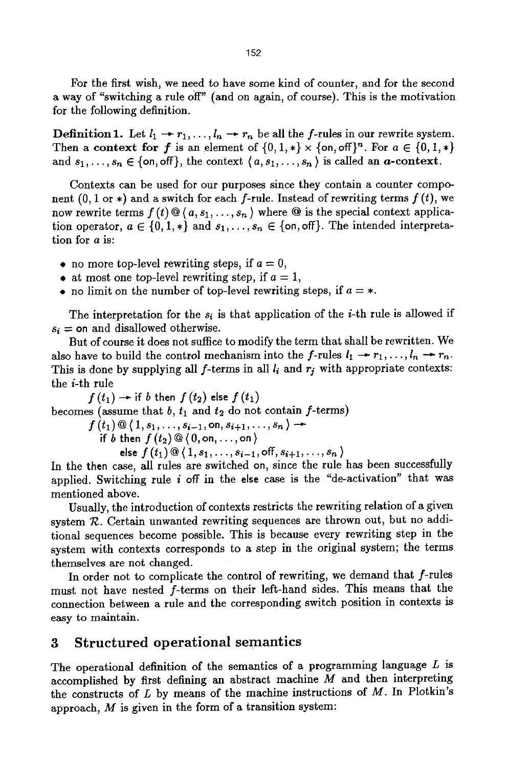For the first wish, we need to have some kind of counter, and for the second a way of "switching a rule off" (and on again, of course). This is the motivation for the following definition.

**Definition 1.** Let  $l_1 \rightarrow r_1, \ldots, l_n \rightarrow r_n$  be all the f-rules in our rewrite system. Then a context for f is an element of  $\{0,1,*\} \times \{\text{on, off}\}^n$ . For  $a \in \{0,1,*\}$ and  $s_1, \ldots, s_n \in \{$ on, off $\}$ , the context  $\langle a, s_1, \ldots, s_n \rangle$  is called an  $a$ -context.

Contexts can be used for our purposes since they contain a counter component  $(0, 1 \text{ or } *)$  and a switch for each f-rule. Instead of rewriting terms  $f(t)$ , we now rewrite terms  $f(t) \mathcal{Q} \langle a, s_1, \ldots, s_n \rangle$  where  $\mathcal Q$  is the special context application operator,  $a \in \{0, 1, *\}$  and  $s_1, \ldots, s_n \in \{\text{on}, \text{off}\}\)$ . The intended interpretation for a is:

- no more top-level rewriting steps, if  $a = 0$ ,
- at most one top-level rewriting step, if  $a = 1$ ,
- no limit on the number of top-level rewriting steps, if  $a = *$ .

The interpretation for the  $s_i$  is that application of the *i*-th rule is allowed if  $s_i$  = on and disallowed otherwise.

But of course it does not suffice to modify the term that shall be rewritten. We also have to build the control mechanism into the f-rules  $l_1 \rightarrow r_1, \ldots, l_n \rightarrow r_n$ . This is done by supplying all  $f$ -terms in all  $l_i$  and  $r_j$  with appropriate contexts: the i-th rule

 $f(t_1) \rightarrow$  if b then  $f(t_2)$  else  $f(t_1)$ becomes (assume that  $b, t_1$  and  $t_2$  do not contain f-terms)  $f(t_1) \mathcal{Q} \langle 1, s_1,\ldots,s_{i-1},\text{on}, s_{i+1},\ldots,s_n \rangle \rightarrow$ if b then  $f(t_2) \, \mathbb{Q} \, \langle \, 0, \text{on}, \ldots, \text{on} \, \rangle$ else  $f(t_1) \, \mathbb{Q} \, \langle \, 1, s_1, \ldots, s_{i-1}, \text{off}, s_{i+1}, \ldots, s_n \, \rangle$ 

In the then case, all rules are switched on, since the rule has been successfully applied. Switching rule i off in the **else** case is the "de-activation" that was mentioned above.

Usually, the introduction of contexts restricts the rewriting relation of a given system  $R$ . Certain unwanted rewriting sequences are thrown out, but no additional sequences become possible. This is because every rewriting step in the system with contexts corresponds to a step in the original system; the terms themselves are not changed.

In order not to complicate the control of rewriting, we demand that f-rules must not have nested f-terms on their left-hand sides. This means that the connection between a rule and the corresponding switch position in contexts is easy to maintain.

## 3 Structured operational semantics

The operational definition of the semantics of a programming language  $L$  is accomplished by first defining an abstract machine  $M$  and then interpreting the constructs of  $L$  by means of the machine instructions of  $M$ . In Plotkin's approach,  $M$  is given in the form of a transition system: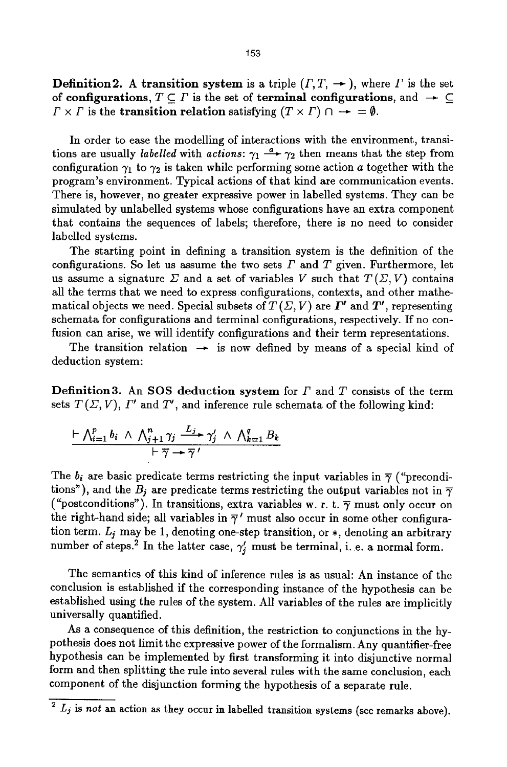**Definition2.** A transition system is a triple  $(\Gamma, T, \rightarrow)$ , where  $\Gamma$  is the set of configurations,  $T \subseteq \Gamma$  is the set of terminal configurations, and  $\rightarrow \subseteq$  $\Gamma \times \Gamma$  is the **transition relation** satisfying  $(T \times \Gamma) \cap \rightarrow \emptyset$ .

In order to ease the modelling of interactions with the environment, transitions are usually *labelled* with *actions*:  $\gamma_1 \xrightarrow{a} \gamma_2$  then means that the step from configuration  $\gamma_1$  to  $\gamma_2$  is taken while performing some action a together with the program's environment. Typical actions of that kind are communication events. There is, however, no greater expressive power in labelled systems. They can be simulated by unlabelled systems whose configurations have an extra component that contains the sequences of labels; therefore, there is no need to consider labelled systems.

The starting point in defining a transition system is the definition of the configurations. So let us assume the two sets  $\Gamma$  and  $\Gamma$  given. Furthermore, let us assume a signature  $\Sigma$  and a set of variables V such that  $T(\Sigma, V)$  contains all the terms that we need to express configurations, contexts, and other mathematical objects we need. Special subsets of  $T(\Sigma, V)$  are  $\Gamma'$  and  $T'$ , representing schemata for configurations and terminal configurations, respectively. If no confusion can arise, we will identify configurations and their term representations.

The transition relation  $\rightarrow$  is now defined by means of a special kind of deduction system:

**Definition3.** An SOS deduction system for  $\Gamma$  and  $\Gamma$  consists of the term sets  $T(\Sigma, V)$ ,  $\Gamma'$  and  $T'$ , and inference rule schemata of the following kind:

$$
\frac{\vdash \bigwedge_{i=1}^p b_i \land \bigwedge_{j+1}^n \gamma_j \xrightarrow{L_j} \gamma'_j \land \bigwedge_{k=1}^q B_k}{\vdash \overline{\gamma} \rightarrow \overline{\gamma}'}
$$

The  $b_i$  are basic predicate terms restricting the input variables in  $\overline{\gamma}$  ("preconditions"), and the  $B_j$  are predicate terms restricting the output variables not in  $\overline{\gamma}$ ("postconditions"). In transitions, extra variables w. r. t.  $\overline{\gamma}$  must only occur on the right-hand side; all variables in  $\overline{\gamma}'$  must also occur in some other configuration term.  $L_j$  may be 1, denoting one-step transition, or  $*$ , denoting an arbitrary number of steps.<sup>2</sup> In the latter case,  $\gamma'_i$  must be terminal, i. e. a normal form.

The semantics of this kind of inference rules is as usual: An instance of the conclusion is established if the corresponding instance of the hypothesis can be established using the rules of the system. All variables of the rules are implicitly universally quantified.

As a consequence of this definition, the restriction to conjunctions in the hypothesis does not limit the expressive power of the formalism. Any quantifier-free hypothesis can be implemented by first transforming it into disjunctive normal form and then splitting the rule into several rules with the same conclusion, each component of the disjunction forming the hypothesis of a separate rule.

 $\overline{L_j}$  is not an action as they occur in labelled transition systems (see remarks above).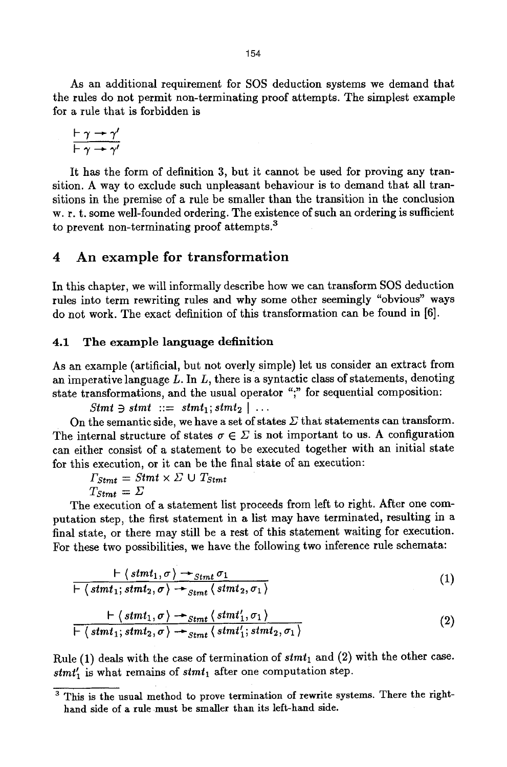As an additional requirement for SOS deduction systems we demand that the rules do not permit non-terminating proof attempts. The simplest example for a rule that is forbidden is

$$
\frac{\vdash \gamma \to \gamma'}{\vdash \gamma \to \gamma'}
$$

It has the form of definition 3, but it cannot be used for proving any transition. A way to exclude such unpleasant behaviour is to demand that all transitions in the premise of a rule be smaller than the transition in the conclusion w. r. t. some well-founded ordering. The existence of such an ordering is sufficient to prevent non-terminating proof attempts.<sup>3</sup>

## 4 An example for transformation

In this chapter, we will informally describe how we can transform SOS deduction rules into term rewriting rules and why some other seemingly "obvious" ways do not work. The exact definition of this transformation can be found in [6].

### 4.1 The example language definition

As an example (artificial, but not overly simple) let us consider an extract from an imperative language  $L$ . In  $L$ , there is a syntactic class of statements, denoting state transformations, and the usual operator *";"* for sequential composition:

 $$ 

On the semantic side, we have a set of states  $\Sigma$  that statements can transform. The internal structure of states  $\sigma \in \Sigma$  is not important to us. A configuration can either consist of a statement to be executed together with an initial state for this execution, or it can be the final state of an execution:

 $F_{Stmt} = Stmt \times \Sigma \cup T_{Stmt}$ 

$$
T_{Stmt} = \Sigma
$$

The execution of a statement list proceeds from left to right. After one computation step, the first statement in a list may have terminated, resulting in a final state, or there may still be a rest of this statement waiting for execution. For these two possibilities, we have the following two inference rule schemata:

$$
\frac{\vdash \langle \mathit{stmt}_1, \sigma \rangle \rightarrow_{\mathit{stmt}} \sigma_1}{\vdash \langle \mathit{stmt}_1, \mathit{stmt}_2, \sigma \rangle \rightarrow_{\mathit{stmt}} \langle \mathit{stmt}_2, \sigma_1 \rangle} \tag{1}
$$

$$
\frac{\vdash \langle \mathit{stmt}_1, \sigma \rangle \rightarrow_{\mathit{stmt}' \langle \mathit{stmt}'_1, \sigma_1 \rangle}}{\vdash \langle \mathit{stmt}_1; \mathit{stmt}_2, \sigma \rangle \rightarrow_{\mathit{stmt}' \langle \mathit{stmt}'_1; \mathit{stmt}_2, \sigma_1 \rangle}}
$$
(2)

Rule  $(1)$  deals with the case of termination of  $s t m t_1$  and  $(2)$  with the other case.  $s t m t_1'$  is what remains of  $s t m t_1$  after one computation step.

 $\frac{3}{3}$  This is the usual method to prove termination of rewrite systems. There the righthand side of a rule must be smaller than its left-hand side.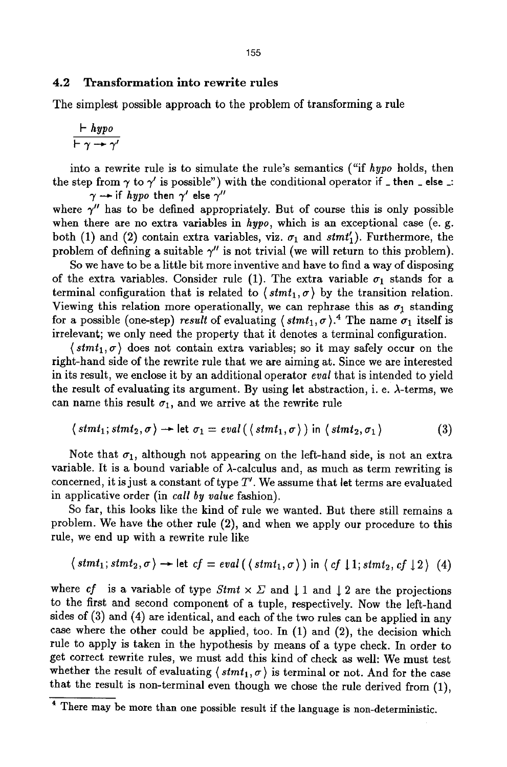### 4.2 Transformation into rewrite rules

The simplest possible approach to the problem of transforming a rule

$$
\frac{\vdash\mathit{hypo}}{\vdash\gamma\rightarrow\gamma'}
$$

into a rewrite rule is to simulate the rule's semantics ("if *hypo* holds, then the step from  $\gamma$  to  $\gamma'$  is possible") with the conditional operator if  $\Box$  then  $\Box$  else  $\Box$ :

 $\gamma \rightarrow$  if *hypo* then  $\gamma'$  else  $\gamma''$ where  $\gamma''$  has to be defined appropriately. But of course this is only possible when there are no extra variables in *hypo*, which is an exceptional case (e. g. both (1) and (2) contain extra variables, viz.  $\sigma_1$  and  $s t m t_1'$ ). Furthermore, the problem of defining a suitable  $\gamma''$  is not trivial (we will return to this problem).

So we have to be a little bit more inventive and have to find a way of disposing of the extra variables. Consider rule (1). The extra variable  $\sigma_1$  stands for a terminal configuration that is related to  $\langle$  stmt<sub>1</sub>,  $\sigma$ ) by the transition relation. Viewing this relation more operationally, we can rephrase this as  $\sigma_1$  standing for a possible (one-step) *result* of evaluating  $\langle \operatorname{stmt}_1, \sigma \rangle$ .<sup>4</sup> The name  $\sigma_1$  itself is irrelevant; we only need the property that it denotes a terminal configuration.

 $\langle$  stmt<sub>1</sub>,  $\sigma$ ) does not contain extra variables; so it may safely occur on the right-hand side of the rewrite rule that we are aiming at. Since we are interested in its result, we enclose it by an additional operator *eval* that is intended to yield the result of evaluating its argument. By using let abstraction, i. e.  $\lambda$ -terms, we can name this result  $\sigma_1$ , and we arrive at the rewrite rule

$$
\langle \operatorname{stmt}_1; \operatorname{stmt}_2, \sigma \rangle \rightarrow \text{let } \sigma_1 = \operatorname{eval}(\langle \operatorname{stmt}_1, \sigma \rangle) \text{ in } \langle \operatorname{stmt}_2, \sigma_1 \rangle \tag{3}
$$

Note that  $\sigma_1$ , although not appearing on the left-hand side, is not an extra variable. It is a bound variable of  $\lambda$ -calculus and, as much as term rewriting is concerned, it is just a constant of type  $T'$ . We assume that let terms are evaluated in applicative order (in *call by value* fashion).

So far, this looks like the kind of rule we wanted. But there still remains a problem. We have the other rule (2), and when we apply our procedure to this rule, we end up with a rewrite rule like

$$
\langle \mathit{stmt}_1; \mathit{stmt}_2, \sigma \rangle \rightarrow \text{let } \mathit{cf} = \mathit{eval} \left( \langle \mathit{stmt}_1, \sigma \rangle \right) \text{ in } \langle \mathit{cf} \downarrow 1; \mathit{stmt}_2, \mathit{cf} \downarrow 2 \rangle \tag{4}
$$

where *cf* is a variable of type *Stmt*  $\times$  *S* and  $\downarrow$  1 and  $\downarrow$  2 are the projections to the first and second component of a tuple, respectively. Now the left-hand sides of (3) and (4) are identical, and each of the two rules can be applied in any case where the other could be applied, too. In (1) and (2), the decision which rule to apply is taken in the hypothesis by means of a type check. In order to get correct rewrite rules, we must add this kind of check as well: We must test whether the result of evaluating  $\langle s t m t_1, \sigma \rangle$  is terminal or not. And for the case that the result is non-terminal even though we chose the rule derived from (1),

<sup>&</sup>lt;sup>4</sup> There may be more than one possible result if the language is non-deterministic.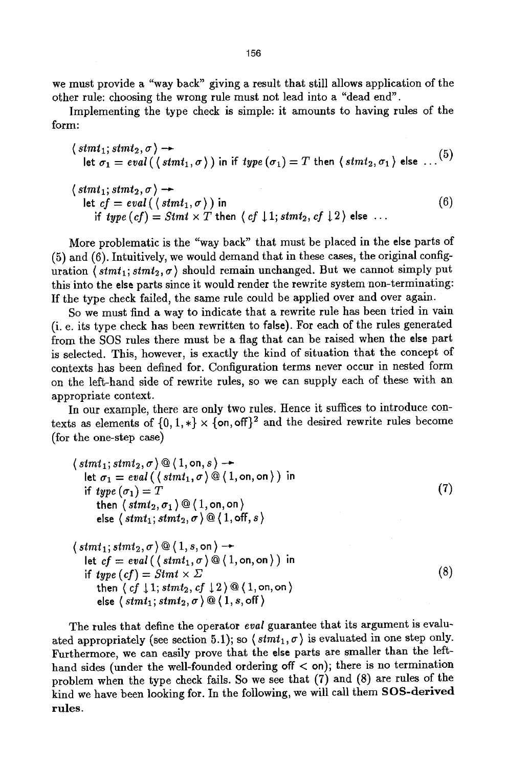we must provide a "way back" giving a result that still allows application of the other rule: choosing the wrong rule must not lead into a "dead end".

Implementing the type check is simple: it amounts to having rules of the form:

$$
\langle \operatorname{stmt}_1; \operatorname{stmt}_2, \sigma \rangle \rightarrow \text{let } \sigma_1 = \operatorname{eval}(\langle \operatorname{stmt}_1, \sigma \rangle) \text{ in if } \operatorname{type}(\sigma_1) = T \text{ then } \langle \operatorname{stmt}_2, \sigma_1 \rangle \text{ else } \dots^{(5)}
$$

$$
\langle \operatorname{stmt}_{1}; \operatorname{stmt}_{2}, \sigma \rangle \rightarrow \text{let } cf = \operatorname{eval}(\langle \operatorname{stmt}_{1}, \sigma \rangle) \text{ in}
$$
\n
$$
\text{if } \operatorname{type}(cf) = \operatorname{Stmt} \times T \text{ then } \langle \operatorname{cf} \downarrow 1; \operatorname{stmt}_{2}, \operatorname{cf} \downarrow 2 \rangle \text{ else } \dots \tag{6}
$$

More problematic is the "way back" that must be placed in the **else** parts of (5) and (6). Intuitively, we would demand that in these cases, the original configuration  $\langle \operatorname{s}tmt_1; \operatorname{s}tmt_2, \sigma \rangle$  should remain unchanged. But we cannot simply put this into the **else** parts since it would render the rewrite system non-terminating: If the type check failed, the same rule could be applied over and over again.

So we must find a way to indicate that a rewrite rule has been tried in vain (i. e. its type check has been rewritten to false). For each of the rules generated from the SOS rules there must be a flag that can be raised when the **else** part is selected. This, however, is exactly the kind of situation that the concept of contexts has been defined for. Configuration terms never occur in nested form on the left-hand side of rewrite rules, so we can supply each of these with an appropriate context.

In our example, there are only two rules. Hence it suffices to introduce contexts as elements of  $\{0, 1, *\}\times \{\text{on, off}\}^2$  and the desired rewrite rules become (for the one-step case)

$$
\langle \operatorname{stmt}_1; \operatorname{stmt}_2, \sigma \rangle \mathcal{Q} \langle 1, \operatorname{on}, s \rangle \rightarrow
$$
\nlet  $\sigma_1 = \operatorname{eval}(\langle \operatorname{stmt}_1, \sigma \rangle \mathcal{Q} \langle 1, \operatorname{on}, \operatorname{on} \rangle)$  in  
\nif  $\operatorname{type}(\sigma_1) = T$   
\nthen  $\langle \operatorname{stmt}_2, \sigma_1 \rangle \mathcal{Q} \langle 1, \operatorname{on}, \operatorname{on} \rangle$   
\nelse  $\langle \operatorname{stmt}_1; \operatorname{stmt}_2, \sigma \rangle \mathcal{Q} \langle 1, \operatorname{off}, s \rangle$   
\n $\langle \operatorname{stmt}_1; \operatorname{stmt}_2, \sigma \rangle \mathcal{Q} \langle 1, s, \operatorname{on} \rangle \rightarrow$   
\nlet  $\sigma f = \operatorname{eval}(\langle \operatorname{stmt}_1, \sigma \rangle \mathcal{Q} \langle 1, \operatorname{on}, \operatorname{on} \rangle)$  in  
\nif  $\operatorname{type}(\sigma f) = \operatorname{Strnt} \times \Sigma$   
\nthen  $\langle \sigma f \downarrow 1; \operatorname{stmt}_2, \sigma \rangle \mathcal{Q} \langle 1, \operatorname{on}, \operatorname{on} \rangle$   
\nelse  $\langle \operatorname{stmt}_1; \operatorname{stm}_2, \sigma \rangle \mathcal{Q} \langle 1, s, \operatorname{off} \rangle$  (8)

The rules that define the operator *eval* guarantee that its argument is evaluated appropriately (see section 5.1); so  $\langle \text{stmt}_1, \sigma \rangle$  is evaluated in one step only. Furthermore, we can easily prove that the **else** parts are smaller than the lefthand sides (under the well-founded ordering off < on); there is no termination problem when the type check fails. So we see that (7) and (8) are rules of the kind we have been looking for. In the following, we will call them SOS-derived rules.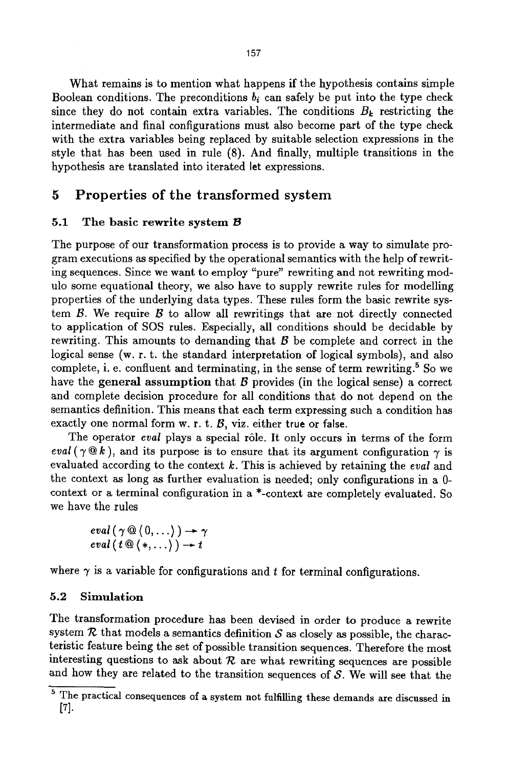What remains is to mention what happens if the hypothesis contains simple Boolean conditions. The preconditions  $b_i$  can safely be put into the type check since they do not contain extra variables. The conditions  $B_k$  restricting the intermediate and final configurations must also become part of the type check with the extra variables being replaced by suitable selection expressions in the style that has been used in rule (8). And finally, multiple transitions in the hypothesis are translated into iterated let expressions.

## 5 Properties of the transformed system

### 5.1 **The basic rewrite system B**

The purpose of our transformation process is to provide a way to simulate program executions as specified by the operational semantics with the help of rewriting sequences. Since we want to employ "pure" rewriting and not rewriting modulo some equational theory, we also have to supply rewrite rules for modelling properties of the underlying data types. These rules form the basic rewrite system  $\beta$ . We require  $\beta$  to allow all rewritings that are not directly connected to application of SOS rules. Especially, all conditions should be decidable by rewriting. This amounts to demanding that  $B$  be complete and correct in the logical sense (w. r. t. the standard interpretation of logical symbols), and also complete, i. e. confluent and terminating, in the sense of term rewriting. 5 So we have the general assumption that  $B$  provides (in the logical sense) a correct and complete decision procedure for all conditions that do not depend on the semantics definition. This means that each term expressing such a condition has exactly one normal form w. r. t.  $B$ , viz. either true or false.

The operator *eval* plays a special rôle. It only occurs in terms of the form *eval* ( $\gamma \mathcal{Q}k$ ), and its purpose is to ensure that its argument configuration  $\gamma$  is evaluated according to the context k. This is achieved by retaining the *eval* and the context as long as further evaluation is needed; only configurations in a 0 context or a terminal configuration in a \*-context are completely evaluated. So we have the rules

$$
eval(\gamma \mathbin{@} \langle 0, \ldots \rangle) \rightarrow \gamma
$$
  

$$
eval(t \mathbin{@} \langle *, \ldots \rangle) \rightarrow t
$$

where  $\gamma$  is a variable for configurations and t for terminal configurations.

### 5.2 Simulation

The transformation procedure has been devised in order to produce a rewrite system  $R$  that models a semantics definition  $S$  as closely as possible, the characteristic feature being the set of possible transition sequences. Therefore the most interesting questions to ask about  $R$  are what rewriting sequences are possible and how they are related to the transition sequences of  $S$ . We will see that the

<sup>&</sup>lt;sup>5</sup> The practical consequences of a system not fulfilling these demands are discussed in [7].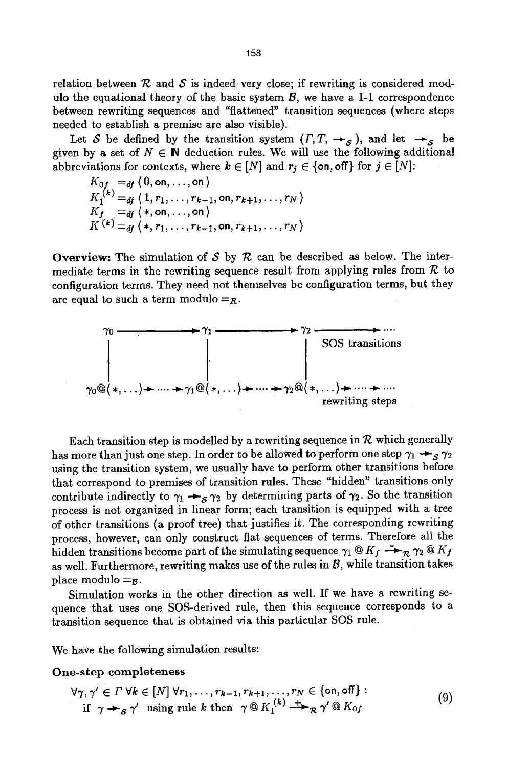relation between  $\mathcal R$  and  $\mathcal S$  is indeed very close; if rewriting is considered modulo the equational theory of the basic system  $B$ , we have a 1-1 correspondence between rewriting sequences and "flattened" transition sequences (where steps needed to establish a premise are also visible).

Let S be defined by the transition system  $(\Gamma, T, \rightarrow_S)$ , and let  $\rightarrow_S$  be given by a set of  $N \in \mathbb{N}$  deduction rules. We will use the following additional abbreviations for contexts, where  $k \in [N]$  and  $r_j \in \{$ on, off} for  $j \in [N]$ :

$$
K_{0f} =_{df} \langle 0, \text{on}, \ldots, \text{on} \rangle
$$
  
\n
$$
K_1^{(k)} =_{df} \langle 1, r_1, \ldots, r_{k-1}, \text{on}, r_{k+1}, \ldots, r_N \rangle
$$
  
\n
$$
K_f =_{df} \langle *, \text{on}, \ldots, \text{on} \rangle
$$
  
\n
$$
K^{(k)} =_{df} \langle *, r_1, \ldots, r_{k-1}, \text{on}, r_{k+1}, \ldots, r_N \rangle
$$

Overview: The simulation of S by R can be described as below. The intermediate terms in the rewriting sequence result from applying rules from  $R$  to configuration terms. They need not themselves be configuration terms, but they are equal to such a term modulo  $=_R$ .



Each transition step is modelled by a rewriting sequence in  $R~$  which generally has more than just one step. In order to be allowed to perform one step  $\gamma_1 \rightarrow_{\mathcal{S}} \gamma_2$ using the transition system, we usually have to perform other transitions before that correspond to premises of transition rules. These "hidden" transitions only contribute indirectly to  $\gamma_1 \rightarrow_{\mathcal{S}} \gamma_2$  by determining parts of  $\gamma_2$ . So the transition process is not organized in linear form; each transition is equipped with a tree of other transitions (a proof tree) that justifies it. The corresponding rewriting process, however, can only construct flat sequences of terms. Therefore all the hidden transitions become part of the simulating sequence  $\gamma_1 \t M_f \rightharpoonup_{\mathcal{R}} \gamma_2 \t M_f$ as well. Furthermore, rewriting makes use of the rules in  $B$ , while transition takes place modulo  $=_{\mathcal{B}}$ .

Simulation works in the other direction as well. If we have a rewriting sequence that uses one SOS-derived rule, then this sequence corresponds to a transition sequence that is obtained via this particular SOS rule.

We have the following simulation results:

#### One-step completeness

$$
\forall \gamma, \gamma' \in \Gamma \,\forall k \in [N] \,\forall r_1, \ldots, r_{k-1}, r_{k+1}, \ldots, r_N \in \{\text{on}, \text{off}\}:
$$
\n(9)

\nif  $\gamma \rightarrow_S \gamma'$  using rule  $k$  then  $\gamma \mathcal{Q} \, K_1^{(k)} \xrightarrow{+} \mathcal{R} \, \gamma' \mathcal{Q} \, K_0 \, \gamma$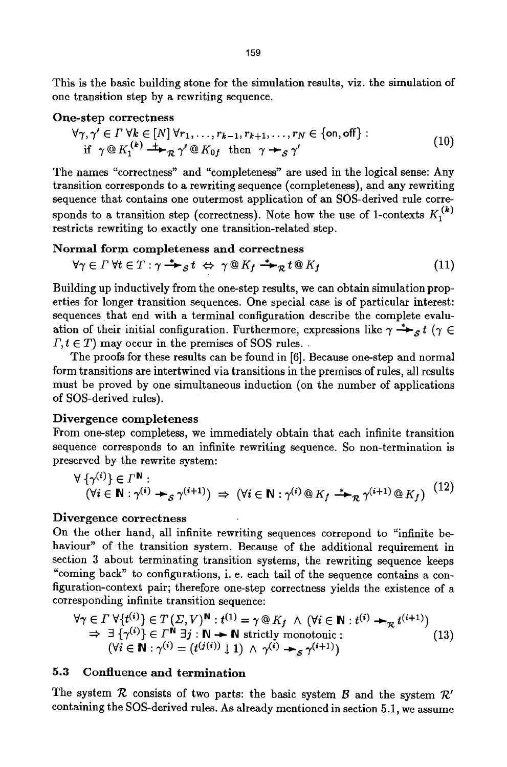This is the basic building stone for the simulation results, viz. the simulation of one transition step by a rewriting sequence.

### One-step correctness

$$
\forall \gamma, \gamma' \in \Gamma \,\forall k \in [N] \,\forall r_1, \dots, r_{k-1}, r_{k+1}, \dots, r_N \in \{\text{on, off}\}:
$$
  
if  $\gamma \otimes K_1^{(k)} \xrightarrow{+} \gamma \otimes K_0 f$  then  $\gamma \rightarrow s \gamma'$  (10)

The names "correctness" and "completeness" are used in the logical sense: Any transition corresponds to a rewriting sequence (completeness), and any rewriting sequence that contains one outermost application of an SOS-derived rule corresponds to a transition step (correctness). Note how the use of 1-contexts  $K_i^{(k)}$ restricts rewriting to exactly one transition-related step.

### Normal form completeness and correctness

$$
\forall \gamma \in \Gamma \; \forall t \in T : \gamma \xrightarrow{\ast} s \; t \; \Leftrightarrow \; \gamma \otimes K_f \xrightarrow{\ast} \mathcal{R} \; t \otimes K_f \tag{11}
$$

Building up inductively from the one-step results, we can obtain simulation properties for longer transition sequences. One special case is of particular interest: sequences that end with a terminal configuration describe the complete evaluation of their initial configuration. Furthermore, expressions like  $\gamma \stackrel{*}{\rightarrow} s t$  ( $\gamma \in$  $\Gamma, t \in T$  may occur in the premises of SOS rules.

The proofs for these results can be found in [6]. Because one-step and normal form transitions are intertwined via transitions in the premises of rules, all results must be proved by one simultaneous induction (on the number of applications of SOS-derived rules).

### Divergence completeness

From one-step completess, we immediately obtain that each infinite transition sequence corresponds to an infinite rewriting sequence. So non-termination is preserved by the rewrite system:

$$
\forall \{\gamma^{(i)}\} \in \Gamma^{\mathbb{N}} : \left(\forall i \in \mathbb{N} : \gamma^{(i)} \rightarrow_{\mathcal{S}} \gamma^{(i+1)}\right) \Rightarrow \left(\forall i \in \mathbb{N} : \gamma^{(i)} \otimes K_f \stackrel{*}{\rightarrow}_{\mathcal{R}} \gamma^{(i+1)} \otimes K_f\right) \tag{12}
$$

### Divergence correctness

On the other hand, all infinite rewriting sequences correpond to "infinite behaviour" of the transition system. Because of the additional requirement in section 3 about terminating transition systems, the rewriting sequence keeps "coming back" to configurations, i. e. each tail of the sequence contains a configuration-context pair; therefore one-step correctness yields the existence of a corresponding infinite transition sequence:

$$
\forall \gamma \in \Gamma \; \forall \{t^{(i)}\} \in T(\Sigma, V)^{\mathbf{N}} : t^{(1)} = \gamma \, \mathbf{0} \, K_f \ \land \ (\forall i \in \mathbf{N} : t^{(i)} \rightarrow_{\mathcal{R}} t^{(i+1)})
$$
\n
$$
\Rightarrow \exists \; \{\gamma^{(i)}\} \in \Gamma^{\mathbf{N}} \; \exists j : \mathbf{N} \rightarrow \mathbf{N} \text{ strictly monotonic :}
$$
\n
$$
(\forall i \in \mathbf{N} : \gamma^{(i)} = (t^{(j(i))} \downarrow 1) \ \land \ \gamma^{(i)} \rightarrow_{\mathcal{S}} \gamma^{(i+1)})
$$
\n
$$
(13)
$$

### 5.3 Confluence and termination

The system  $\mathcal R$  consists of two parts: the basic system  $\mathcal B$  and the system  $\mathcal R'$ containing the SOS-derived rules. As already mentioned in section 5.1, we assume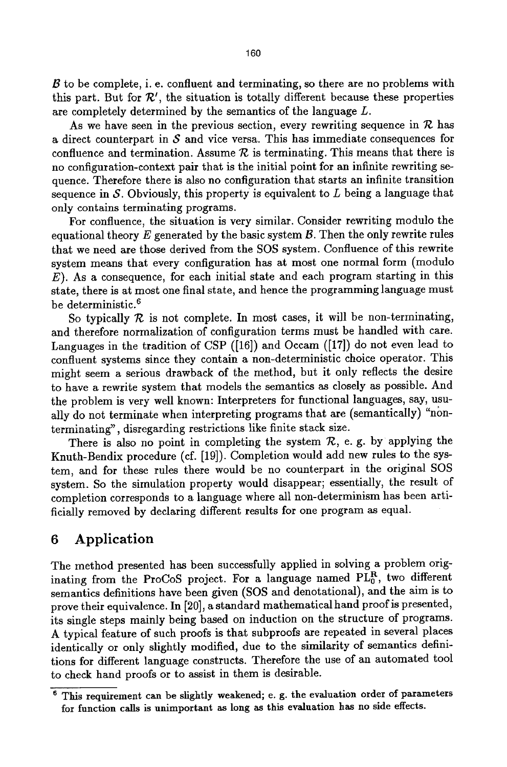$\mathcal B$  to be complete, i.e. confluent and terminating, so there are no problems with this part. But for  $\mathcal{R}'$ , the situation is totally different because these properties are completely determined by the semantics of the language L.

As we have seen in the previous section, every rewriting sequence in  $R$  has a direct counterpart in  $S$  and vice versa. This has immediate consequences for confluence and termination. Assume  $\mathcal R$  is terminating. This means that there is no configuration-context pair that is the initial point for an infinite rewriting sequence. Therefore there is also no configuration that starts an infinite transition sequence in S. Obviously, this property is equivalent to  $L$  being a language that only contains terminating programs.

For confluence, the situation is very similar. Consider rewriting modulo the equational theory E generated by the basic system  $\mathcal{B}$ . Then the only rewrite rules that we need are those derived from the SOS system. Confluence of this rewrite system means that every configuration has at most one normal form (modulo  $E$ ). As a consequence, for each initial state and each program starting in this state, there is at most one final state, and hence the programming language must be deterministic.<sup>6</sup>

So typically  $R$  is not complete. In most cases, it will be non-terminating, and therefore normalization of configuration terms must be handled with care. Languages in the tradition of CSP ([16]) and Occam ([17]) do not even lead to confluent systems since they contain a non-deterministic choice operator. This might seem a serious drawback of the method, but it only reflects the desire to have a rewrite system that models the semantics as closely as possible. And the problem is very well known: Interpreters for functional languages, say, usually do not terminate when interpreting programs that are (semantically) "nonterminating", disregarding restrictions like finite stack size.

There is also no point in completing the system  $\mathcal{R}$ , e. g. by applying the Knuth-Bendix procedure (cf. [19]). Completion would add new rules to the system, and for these rules there would be no counterpart in the original SOS system. So the simulation property would disappear; essentially, the result of completion corresponds to a language where all non-determinism has been artificially removed by declaring different results for one program as equal.

## 6 Application

The method presented has been successfully applied in solving a problem originating from the ProCoS project. For a language named  $\overline{PL}_0^R$ , two different semantics definitions have been given (SOS and denotational), and the aim is to prove their equivalence. In [20], a standard mathematical hand proof is presented, its single steps mainly being based on induction on the structure of programs. A typical feature of such proofs is that subproofs are repeated in several places identically or only slightly modified, due to the similarity of semantics definitions for different language constructs. Therefore the use of an automated tool to check hand proofs or to assist in them is desirable.

 $<sup>6</sup>$  This requirement can be slightly weakened; e. g. the evaluation order of parameters</sup> for function calls is unimportant as long as this evaluation has no side effects.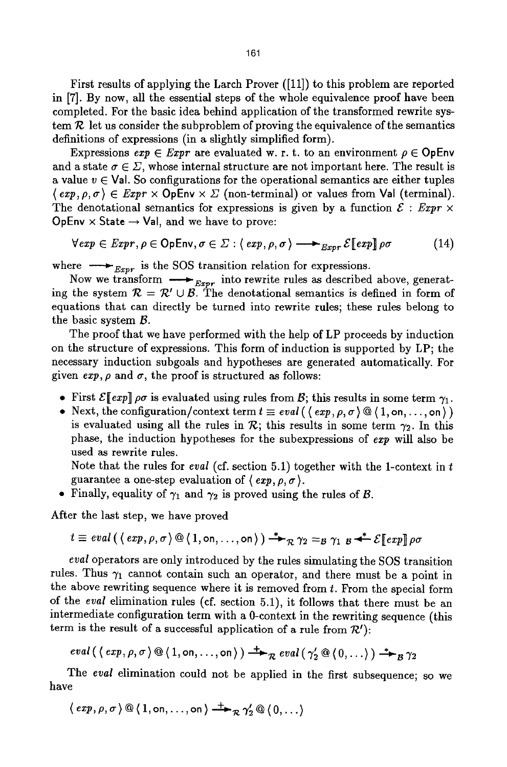First results of applying the Larch Prover ([11]) to this problem are reported in [7]. By now, all the essential steps of the whole equivalence proof have been completed. For the basic idea behind application of the transformed rewrite system  $\mathcal R$  let us consider the subproblem of proving the equivalence of the semantics definitions of expressions (in a slightly simplified form).

Expressions  $exp \in E$ *xpr* are evaluated w. r. t. to an environment  $\rho \in \mathsf{OpEnv}$ and a state  $\sigma \in \Sigma$ , whose internal structure are not important here. The result is a value  $v \in$  Val. So configurations for the operational semantics are either tuples  $\langle exp, \rho, \sigma \rangle \in \text{Expr} \times \text{OpEnv} \times \Sigma$  (non-terminal) or values from Val (terminal). The denotational semantics for expressions is given by a function  $\mathcal{E}$ : *Expr*  $\times$ OpEnv  $\times$  State  $\rightarrow$  Val, and we have to prove:

$$
\forall \exp \in \text{Expr}, \rho \in \text{OpEnv}, \sigma \in \Sigma : \langle \exp, \rho, \sigma \rangle \longrightarrow_{\text{Expr}} \mathcal{E}[\![\exp]\!] \rho \sigma \tag{14}
$$

where  $\longrightarrow_{\text{Error}}$  is the SOS transition relation for expressions.

Now we transform  $\longrightarrow_{\text{Enner}}$  into rewrite rules as described above, generating the system  $\mathcal{R} = \mathcal{R}' \cup \mathcal{B}$ . The denotational semantics is defined in form of equations that can directly be turned into rewrite rules; these rules belong to the basic system  $B$ .

The proof that we have performed with the help of LP proceeds by induction on the structure of expressions. This form of induction is supported by LP; the necessary induction subgoals and hypotheses are generated automatically. For given  $exp, \rho$  and  $\sigma$ , the proof is structured as follows:

- First  $\mathcal{E}[\![exp]\!]$   $\rho\sigma$  is evaluated using rules from  $\mathcal{B}$ ; this results in some term  $\gamma_1$ .
- $\bullet$  Next, the configuration/context term  $t \equiv eval(\langle exp, \rho, \sigma \rangle \mathcal{Q}(1, on, \ldots, on \rangle))$ is evaluated using all the rules in  $R$ ; this results in some term  $\gamma_2$ . In this phase, the induction hypotheses for the subexpressions of *ezp* will also be used as rewrite rules.

Note that the rules for *eval* (cf. section 5.1) together with the 1-context in t guarantee a one-step evaluation of  $\langle exp, \rho, \sigma \rangle$ .

• Finally, equality of  $\gamma_1$  and  $\gamma_2$  is proved using the rules of B.

After the last step, we have proved

$$
t \equiv \text{eval}(\langle \text{ exp}, \rho, \sigma \rangle \otimes \langle 1, \text{ on}, \dots, \text{ on} \rangle) \stackrel{*}{\rightarrow} {}_{\mathcal{R}} \gamma_2 =_{\mathcal{B}} \gamma_1 \mathcal{B} \stackrel{*}{\leftarrow} \mathcal{E}[\![\text{exp}]\!] \rho \sigma
$$

*eval* operators are only introduced by the rules simulating the SOS transition rules. Thus  $\gamma_1$  cannot contain such an operator, and there must be a point in the above rewriting sequence where it is removed from  $t$ . From the special form of the *eval* elimination rules (cf. section 5.1), it follows that there must be an intermediate configuration term with a 0-context in the rewriting sequence (this term is the result of a successful application of a rule from  $\mathcal{R}'$ ):

$$
\mathit{eval}\left(\langle\;\mathit{exp},\rho,\sigma\,\rangle\otimes\langle\,1,\mathsf{on},\ldots,\mathsf{on}\,\rangle\,\right)\overset{+}{\longrightarrow}_\mathcal{R}\mathit{eval}\left(\;\gamma_2'\otimes\langle\,0,\ldots\,\rangle\,\right)\overset{*}{\longrightarrow}_\mathcal{B}\gamma_2
$$

The *eval* elimination could not be applied in the first subsequence; so we have

$$
\langle \exp, \rho, \sigma \rangle @ \langle 1, \text{on}, \ldots, \text{on} \rangle \xrightarrow{+} {}_{\mathcal{R}} \gamma_2' @ \langle 0, \ldots \rangle
$$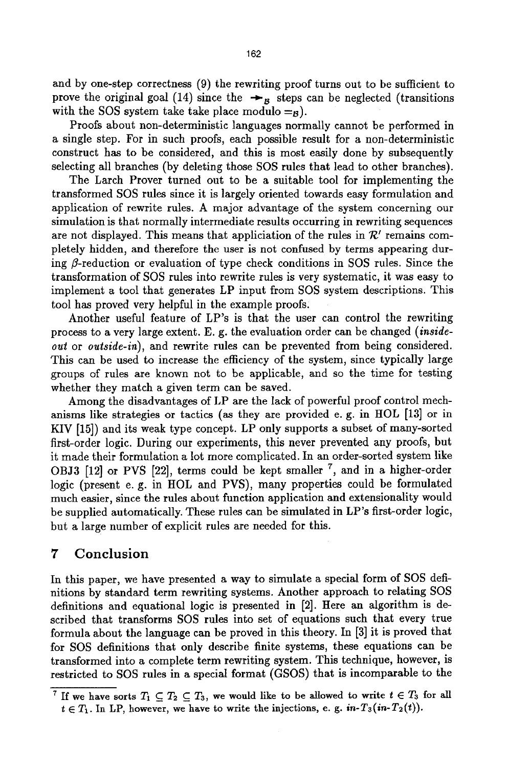and by one-step correctness (9) the rewriting proof turns out to be sufficient to prove the original goal (14) since the  $\rightarrow$ <sup>B</sup> steps can be neglected (transitions with the SOS system take take place modulo  $=_B$ ).

Proofs about non-deterministic languages normally cannot be performed in a single step. For in such proofs, each possible result for a non-deterministic construct has to be considered, and this is most easily done by subsequently selecting all branches (by deleting those SOS rules that lead to other branches).

The Larch Prover turned out to be a suitable tool for implementing the transformed SOS rules since it is largely oriented towards easy formulation and application of rewrite rules. A major advantage of the system concerning our simulation is that normally intermediate results occurring in rewriting sequences are not displayed. This means that appliciation of the rules in  $\mathcal{R}'$  remains completely hidden, and therefore the user is not confused by terms appearing during  $\beta$ -reduction or evaluation of type check conditions in SOS rules. Since the transformation of SOS rules into rewrite rules is very systematic, it was easy to implement a tool that generates LP input from SOS system descriptions. This tool has proved very helpful in the example proofs:

Another useful feature of LP's is that the user can control the rewriting process to a very large extent. E. g. the evaluation order can be changed *(insideout* or *outside-in),* and rewrite rules can be prevented from being considered. This can be used to increase the efficiency of the system, since typically large groups of rules are known not to be applicable, and so the time for testing whether they match a given term can be saved.

Among the disadvantages of LP are the lack of powerful proof control mechanisms like strategies or tactics (as they are provided e. g. in HOL [13] or in KIV [15]) and its weak type concept. LP only supports a subset of many-sorted first-order logic. During our experiments, this never prevented any proofs, but it made their formulation a lot more complicated. In an order-sorted system like OBJ3 [12] or PVS [22], terms could be kept smaller  $^7$ , and in a higher-order logic (present e. g. in HOL and PVS), many properties could be formulated much easier, since the rules about function application and extensionality would be supplied automatically. These rules can be simulated in LP's first-order logic, but a large number of explicit rules are needed for this.

## **7 Conclusion**

In this paper, we have presented a way to simulate a special form of SOS definitions by standard term rewriting systems. Another approach to relating SOS definitions and equational logic is presented in [2]. Here an algorithm is described that transforms SOS rules into set of equations such that every true formula about the language can be proved in this theory. In [3] it is proved that for SOS definitions that only describe finite systems, these equations can be transformed into a complete term rewriting system. This technique, however, is restricted to SOS rules in a special format (GSOS) that is incomparable to the

<sup>&</sup>lt;sup>7</sup> If we have sorts  $T_1 \subseteq T_2 \subseteq T_3$ , we would like to be allowed to write  $t \in T_3$  for all  $t \in T_1$ . In LP, however, we have to write the injections, e. g. *in-T<sub>3</sub>(in-T<sub>2</sub>(t))*.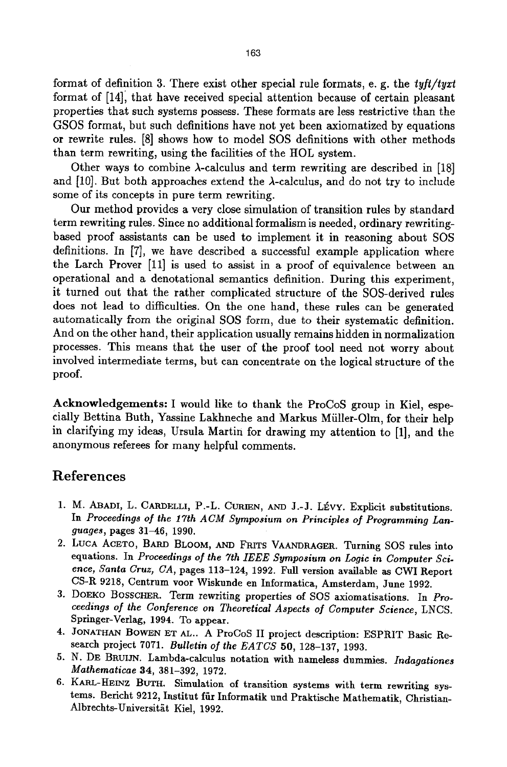format of definition 3. There exist other special rule formats, e. g. the *tyfl/tyxt*  format of [14], that have received special attention because of certain pleasant properties that such systems possess. These formats are less restrictive than the GSOS format, but such definitions have not yet been axiomatized by equations or rewrite rules. [8] shows how to model SOS definitions with other methods than term rewriting, using the facilities of the HOL system.

Other ways to combine  $\lambda$ -calculus and term rewriting are described in [18] and [10]. But both approaches extend the  $\lambda$ -calculus, and do not try to include some of its concepts in pure term rewriting.

Our method provides a very close simulation of transition rules by standard term rewriting rules. Since no additional formalism is needed, ordinary rewritingbased proof assistants can be used to implement it in reasoning about SOS definitions. In [7], we have described a successful example application where the Larch Prover [11] is used to assist in a proof of equivalence between an operational and a denotational semantics definition. During this experiment, it turned out that the rather complicated structure of the SOS-derived rules does not lead to difficulties. On the one hand, these rules can be generated automatically from the original SOS form, due to their systematic definition. And on the other hand, their application usually remains hidden in normalization processes. This means that the user of the proof tool need not worry about involved intermediate terms, but can concentrate on the logical structure of the proof.

Acknowledgements: I would like to thank the ProCoS group in Kiel, especially Bettina Buth, Yassine Lakhneche and Markus Miiller-Olm, for their help in clarifying my ideas, Ursula Martin for drawing my attention to [1], and the anonymous referees for many helpful comments.

## References

- 1. M. ABADI, L. CARDELLI, P.-L. CURIEN, AND J.-J. LÉVY. Explicit substitutions. In *Proceedings of the 17th ACM Symposium on Principles of Programming Languages,* pages 31-46, 1990.
- 2. LUCA ACETO, BARD BLOOM, AND FRITS VAANDRAGER. Turning SOS rules into equations. In *Proceedings of the 7th !EEE Symposium on Logic in Computer Science, Santa Cruz, CA,* pages 113-124, 1992. Full version available as CWI Report CS-R 9218, Centrum voor Wiskunde en Informatica, Amsterdam, June 1992.
- 3. DOEKO BOSSCHER. Term rewriting properties of SOS axiomatisations. In *Proceedings of the Conference on Theoretical Aspects of Computer Science,* LNCS. Springer-Verlag, 1994. To appear.
- 4. JONATHAN BOWEN ET AL.. A ProCoS II project description: ESPRIT Basic Research project 7071. *Bulletin of the EATCS* 50, 128-137, 1993.
- 5. N. DE BRUIJN. Lambda-calculus notation with nameless dummies. *Indagationes Mathematicae* 34, 381-392, 1972.
- 6. KARL-HEINZ BUTH. Simulation of transition systems with term rewriting systems. Bericht 9212, Institut ffir Informatik und Praktische Mathematik, Christian-Albrechts-Universität Kiel, 1992.